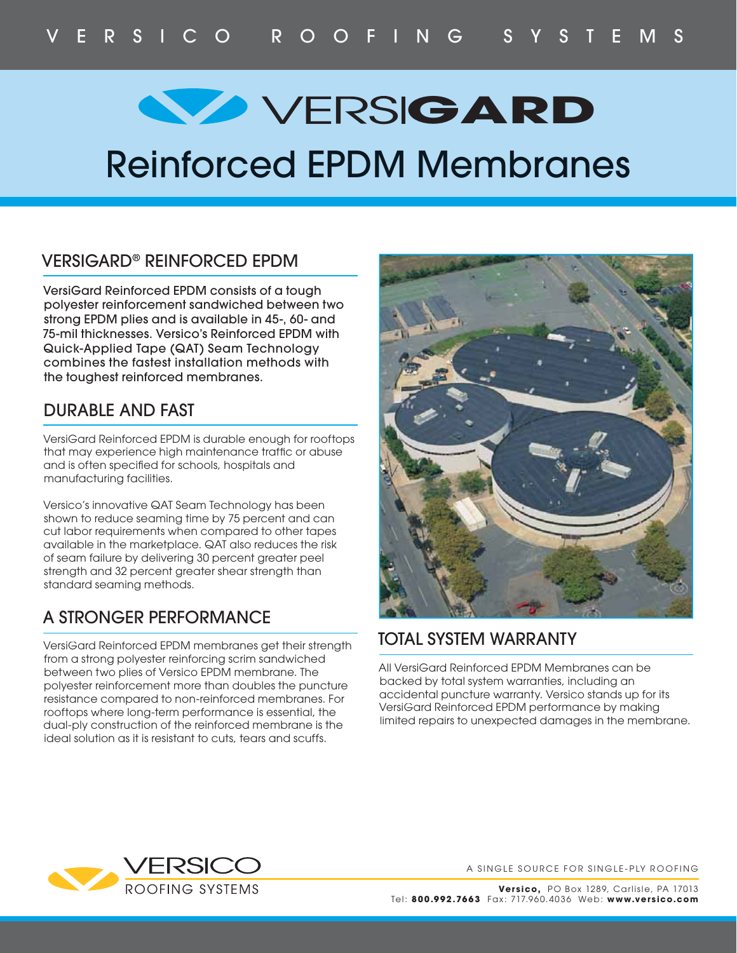## **GARD** VERSIGARD

### Reinforced EPDM Membranes

#### VERSIGARD® REINFORCED EPDM

VersiGard Reinforced EPDM consists of a tough polyester reinforcement sandwiched between two strong EPDM plies and is available in 45-, 60- and 75-mil thicknesses. Versico's Reinforced EPDM with Quick-Applied Tape (QAT) Seam Technology combines the fastest installation methods with the toughest reinforced membranes.

#### DURABLE AND FAST

VersiGard Reinforced EPDM is durable enough for rooftops that may experience high maintenance traffic or abuse and is often specified for schools, hospitals and manufacturing facilities.

Versico's innovative QAT Seam Technology has been shown to reduce seaming time by 75 percent and can cut labor requirements when compared to other tapes available in the marketplace. QAT also reduces the risk of seam failure by delivering 30 percent greater peel strength and 32 percent greater shear strength than standard seaming methods.

#### A STRONGER PERFORMANCE

VersiGard Reinforced EPDM membranes get their strength from a strong polyester reinforcing scrim sandwiched between two plies of Versico EPDM membrane. The polyester reinforcement more than doubles the puncture resistance compared to non-reinforced membranes. For rooftops where long-term performance is essential, the dual-ply construction of the reinforced membrane is the ideal solution as it is resistant to cuts, tears and scuffs.



#### TOTAL SYSTEM WARRANTY

All VersiGard Reinforced EPDM Membranes can be backed by total system warranties, including an accidental puncture warranty. Versico stands up for its VersiGard Reinforced EPDM performance by making limited repairs to unexpected damages in the membrane.



A SINGLE SOURCE FOR SINGLE-PLY ROOFING